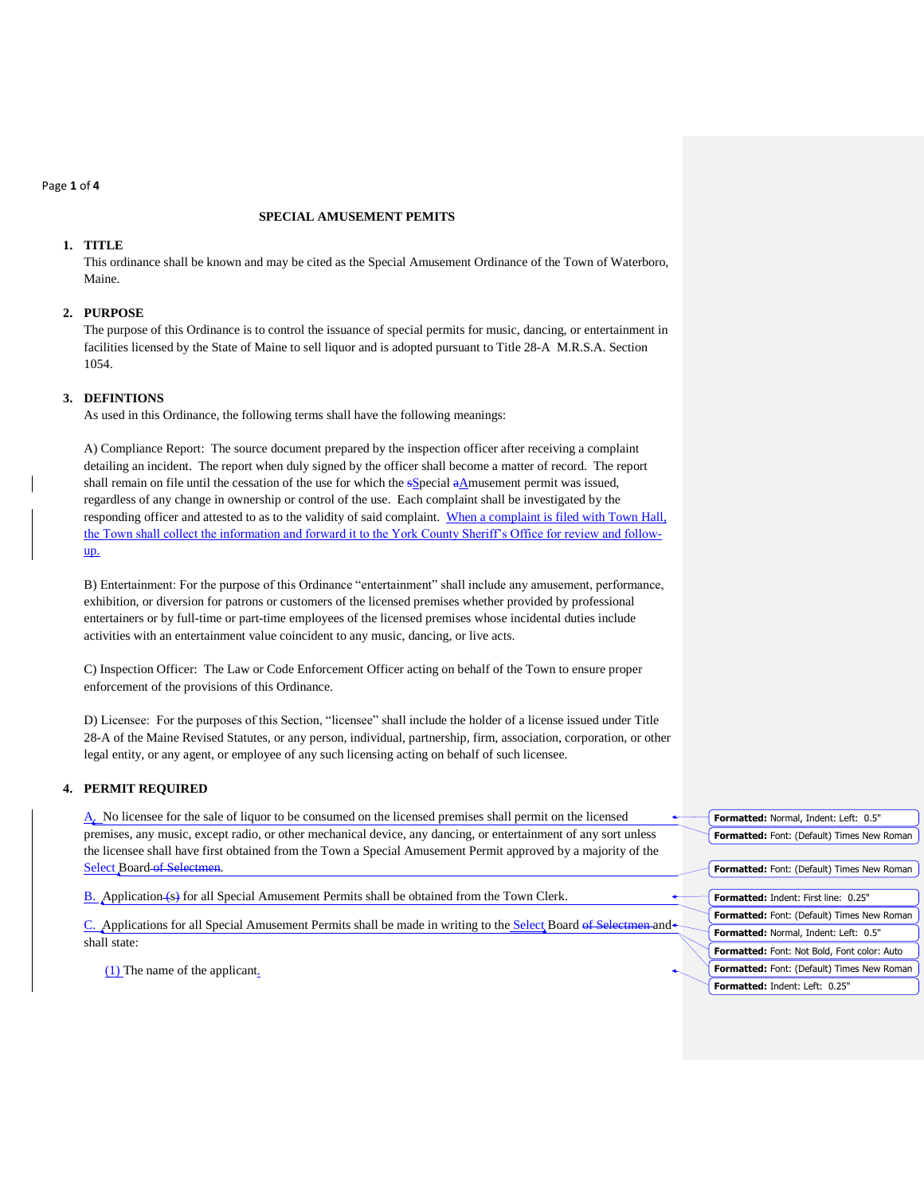#### Page **1** of **4**

# **SPECIAL AMUSEMENT PEMITS**

# **1. TITLE**

This ordinance shall be known and may be cited as the Special Amusement Ordinance of the Town of Waterboro, Maine.

### **2. PURPOSE**

The purpose of this Ordinance is to control the issuance of special permits for music, dancing, or entertainment in facilities licensed by the State of Maine to sell liquor and is adopted pursuant to Title 28-A M.R.S.A. Section 1054.

# **3. DEFINTIONS**

As used in this Ordinance, the following terms shall have the following meanings:

A) Compliance Report: The source document prepared by the inspection officer after receiving a complaint detailing an incident. The report when duly signed by the officer shall become a matter of record. The report shall remain on file until the cessation of the use for which the sSpecial aAmusement permit was issued, regardless of any change in ownership or control of the use. Each complaint shall be investigated by the responding officer and attested to as to the validity of said complaint. When a complaint is filed with Town Hall, the Town shall collect the information and forward it to the York County Sheriff's Office for review and followup.

B) Entertainment: For the purpose of this Ordinance "entertainment" shall include any amusement, performance, exhibition, or diversion for patrons or customers of the licensed premises whether provided by professional entertainers or by full-time or part-time employees of the licensed premises whose incidental duties include activities with an entertainment value coincident to any music, dancing, or live acts.

C) Inspection Officer: The Law or Code Enforcement Officer acting on behalf of the Town to ensure proper enforcement of the provisions of this Ordinance.

D) Licensee: For the purposes of this Section, "licensee" shall include the holder of a license issued under Title 28-A of the Maine Revised Statutes, or any person, individual, partnership, firm, association, corporation, or other legal entity, or any agent, or employee of any such licensing acting on behalf of such licensee.

# **4. PERMIT REQUIRED**

A. No licensee for the sale of liquor to be consumed on the licensed premises shall permit on the licensed premises, any music, except radio, or other mechanical device, any dancing, or entertainment of any sort unless the licensee shall have first obtained from the Town a Special Amusement Permit approved by a majority of the Select Board of Selectmen.

B. Application (s) for all Special Amusement Permits shall be obtained from the Town Clerk.

C. Applications for all Special Amusement Permits shall be made in writing to the Select Board of Selectmen and shall state:

(1) The name of the applicant.

| Formatted: Normal, Indent: Left: 0.5"              |
|----------------------------------------------------|
| Formatted: Font: (Default) Times New Roman         |
|                                                    |
| <b>Formatted:</b> Font: (Default) Times New Roman  |
|                                                    |
| <b>Formatted: Indent: First line: 0.25"</b>        |
| Formatted: Font: (Default) Times New Roman         |
| Formatted: Normal, Indent: Left: 0.5"              |
| <b>Formatted:</b> Font: Not Bold, Font color: Auto |
| Formatted: Font: (Default) Times New Roman         |
| <b>Formatted: Indent: Left: 0.25"</b>              |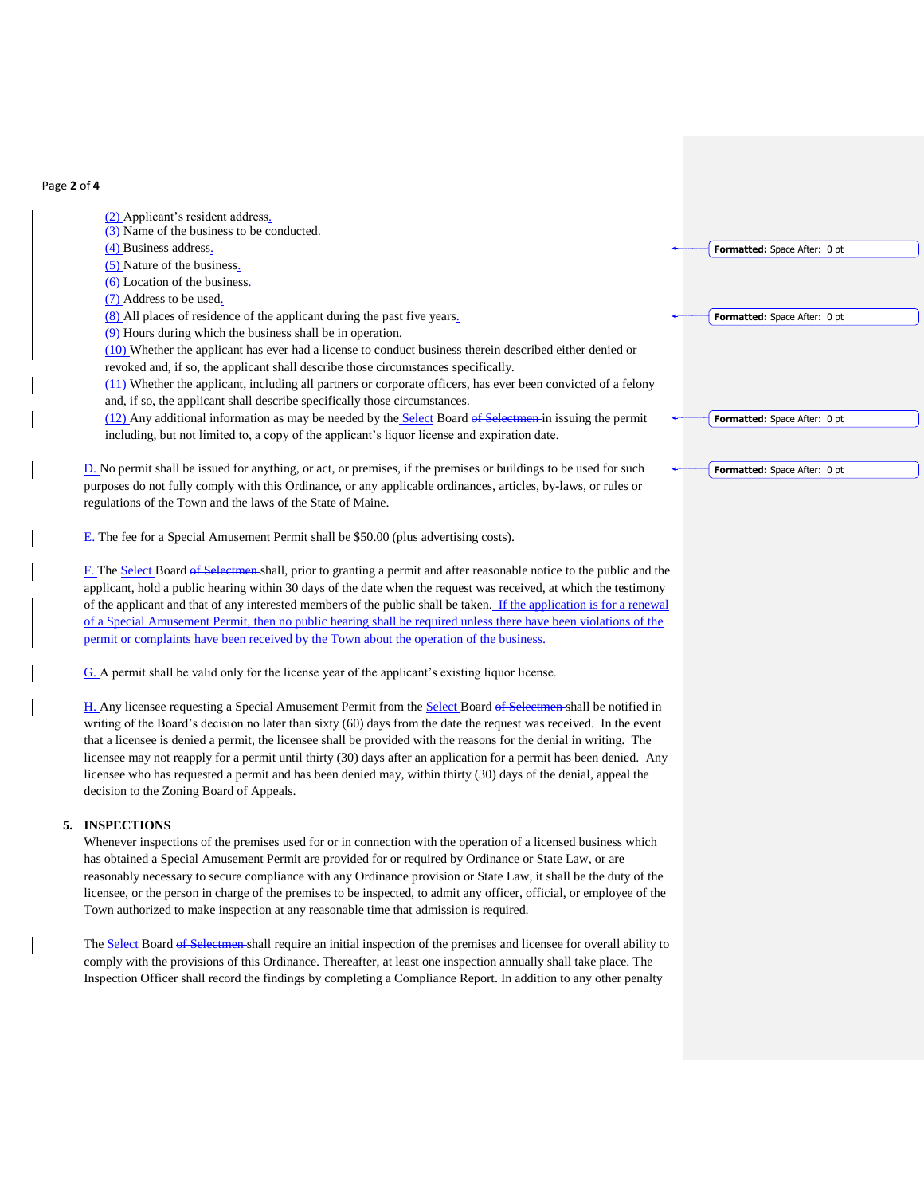#### Page **2** of **4**

- (2) Applicant's resident address.
- (3) Name of the business to be conducted.
- (4) Business address.
- (5) Nature of the business.
- (6) Location of the business.
- (7) Address to be used.
- (8) All places of residence of the applicant during the past five years.
- (9) Hours during which the business shall be in operation.
- (10) Whether the applicant has ever had a license to conduct business therein described either denied or revoked and, if so, the applicant shall describe those circumstances specifically.
- (11) Whether the applicant, including all partners or corporate officers, has ever been convicted of a felony and, if so, the applicant shall describe specifically those circumstances.
- (12) Any additional information as may be needed by the Select Board of Selectmen in issuing the permit including, but not limited to, a copy of the applicant's liquor license and expiration date.
- D. No permit shall be issued for anything, or act, or premises, if the premises or buildings to be used for such purposes do not fully comply with this Ordinance, or any applicable ordinances, articles, by-laws, or rules or regulations of the Town and the laws of the State of Maine.
- E. The fee for a Special Amusement Permit shall be \$50.00 (plus advertising costs).
- F. The Select Board of Selectmen shall, prior to granting a permit and after reasonable notice to the public and the applicant, hold a public hearing within 30 days of the date when the request was received, at which the testimony of the applicant and that of any interested members of the public shall be taken. If the application is for a renewal of a Special Amusement Permit, then no public hearing shall be required unless there have been violations of the permit or complaints have been received by the Town about the operation of the business.
- G. A permit shall be valid only for the license year of the applicant's existing liquor license.
- H. Any licensee requesting a Special Amusement Permit from the Select Board of Selectmen shall be notified in writing of the Board's decision no later than sixty (60) days from the date the request was received. In the event that a licensee is denied a permit, the licensee shall be provided with the reasons for the denial in writing. The licensee may not reapply for a permit until thirty (30) days after an application for a permit has been denied. Any licensee who has requested a permit and has been denied may, within thirty (30) days of the denial, appeal the decision to the Zoning Board of Appeals.

#### **5. INSPECTIONS**

- Whenever inspections of the premises used for or in connection with the operation of a licensed business which has obtained a Special Amusement Permit are provided for or required by Ordinance or State Law, or are reasonably necessary to secure compliance with any Ordinance provision or State Law, it shall be the duty of the licensee, or the person in charge of the premises to be inspected, to admit any officer, official, or employee of the Town authorized to make inspection at any reasonable time that admission is required.
- The Select Board of Selectmen shall require an initial inspection of the premises and licensee for overall ability to comply with the provisions of this Ordinance. Thereafter, at least one inspection annually shall take place. The Inspection Officer shall record the findings by completing a Compliance Report. In addition to any other penalty

**Formatted:** Space After: 0 pt

**Formatted:** Space After: 0 pt

**Formatted:** Space After: 0 pt

**Formatted:** Space After: 0 pt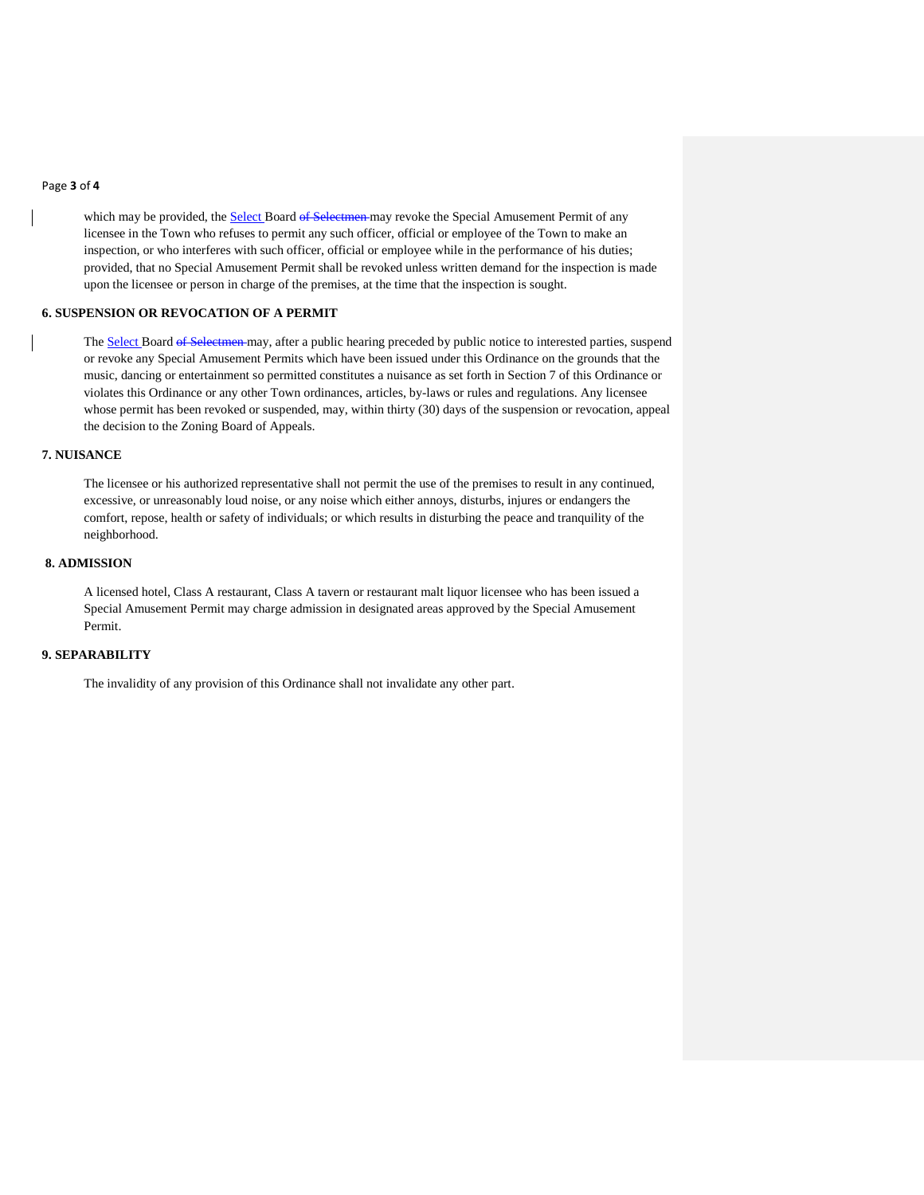#### Page **3** of **4**

which may be provided, the Select Board of Selectmen may revoke the Special Amusement Permit of any licensee in the Town who refuses to permit any such officer, official or employee of the Town to make an inspection, or who interferes with such officer, official or employee while in the performance of his duties; provided, that no Special Amusement Permit shall be revoked unless written demand for the inspection is made upon the licensee or person in charge of the premises, at the time that the inspection is sought.

### **6. SUSPENSION OR REVOCATION OF A PERMIT**

The Select Board of Selectmen may, after a public hearing preceded by public notice to interested parties, suspend or revoke any Special Amusement Permits which have been issued under this Ordinance on the grounds that the music, dancing or entertainment so permitted constitutes a nuisance as set forth in Section 7 of this Ordinance or violates this Ordinance or any other Town ordinances, articles, by-laws or rules and regulations. Any licensee whose permit has been revoked or suspended, may, within thirty (30) days of the suspension or revocation, appeal the decision to the Zoning Board of Appeals.

# **7. NUISANCE**

The licensee or his authorized representative shall not permit the use of the premises to result in any continued, excessive, or unreasonably loud noise, or any noise which either annoys, disturbs, injures or endangers the comfort, repose, health or safety of individuals; or which results in disturbing the peace and tranquility of the neighborhood.

# **8. ADMISSION**

A licensed hotel, Class A restaurant, Class A tavern or restaurant malt liquor licensee who has been issued a Special Amusement Permit may charge admission in designated areas approved by the Special Amusement Permit.

# **9. SEPARABILITY**

The invalidity of any provision of this Ordinance shall not invalidate any other part.